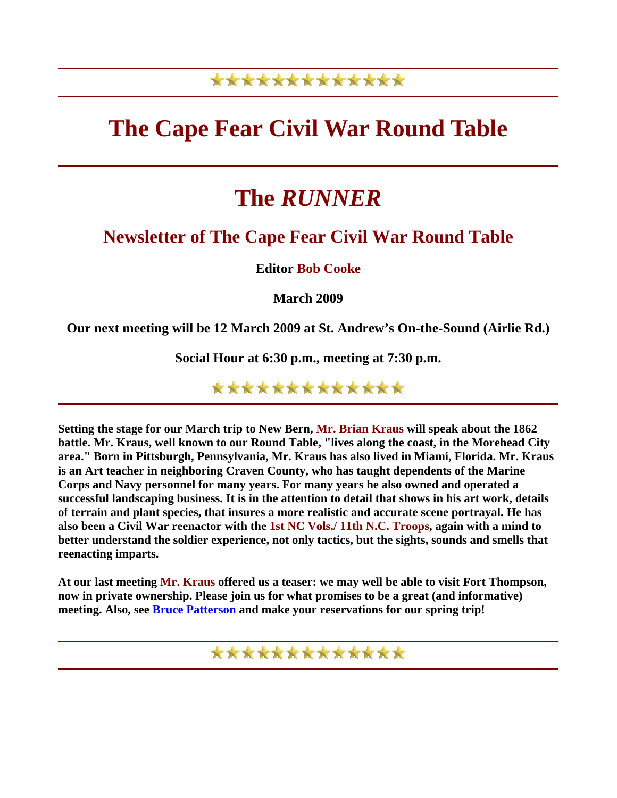### \*\*\*\*\*\*\*\*\*\*\*\*\*

## **The Cape Fear Civil War Round Table**

# **The** *RUNNER*

### **Newsletter of The Cape Fear Civil War Round Table**

**Editor Bob Cooke**

**March 2009** 

**Our next meeting will be 12 March 2009 at St. Andrew's On-the-Sound (Airlie Rd.)** 

**Social Hour at 6:30 p.m., meeting at 7:30 p.m.** 

\*\*\*\*\*\*\*\*\*\*\*\*\*

**Setting the stage for our March trip to New Bern, Mr. Brian Kraus will speak about the 1862 battle. Mr. Kraus, well known to our Round Table, "lives along the coast, in the Morehead City area." Born in Pittsburgh, Pennsylvania, Mr. Kraus has also lived in Miami, Florida. Mr. Kraus is an Art teacher in neighboring Craven County, who has taught dependents of the Marine Corps and Navy personnel for many years. For many years he also owned and operated a successful landscaping business. It is in the attention to detail that shows in his art work, details of terrain and plant species, that insures a more realistic and accurate scene portrayal. He has also been a Civil War reenactor with the 1st NC Vols./ 11th N.C. Troops, again with a mind to better understand the soldier experience, not only tactics, but the sights, sounds and smells that reenacting imparts.**

**At our last meeting Mr. Kraus offered us a teaser: we may well be able to visit Fort Thompson, now in private ownership. Please join us for what promises to be a great (and informative) meeting. Also, see Bruce Patterson and make your reservations for our spring trip!**

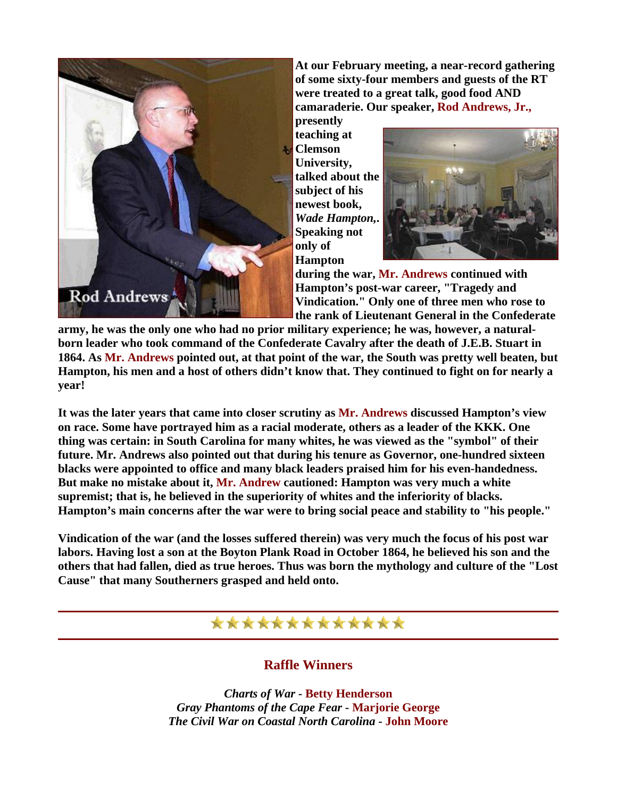

**At our February meeting, a near-record gathering of some sixty-four members and guests of the RT were treated to a great talk, good food AND camaraderie. Our speaker, Rod Andrews, Jr.,**

**presently teaching at Clemson University, talked about t he subject of his newest book ,**  *Wade Hampt on,***. Speaking no t only of Hampto n** 



**during the war, Mr. Andrews continued with Hampton's post-war career, "Tragedy and Vindication." Only one of three men who rose to the rank of Lieutenant General in the Confederate** 

**army, he was the only one who had no prior military experience; he was, however, a naturalborn leader who took command of the Confederate Cavalry after the death of J.E.B. Stuart in 1864. As Mr. Andrews pointed out, at that point of the war, the South was pretty well beaten, but Hampton, his men and a host of others didn't know that. They continued to fight on for nearly a year!**

**It was the later years that came into closer scrutiny as Mr. Andrews discussed Hampton's view on race. Some have portrayed him as a racial moderate, others as a leader of the KKK. One thing was certain: in South Carolina for many whites, he was viewed as the "symbol" of their future. Mr. Andrews also pointed out that during his tenure as Governor, one-hundred sixteen blacks were appointed to office and many black leaders praised him for his even-handedness. But make no mistake about it, Mr. Andrew cautioned: Hampton was very much a white supremist; that is, he believed in the superiority of whites and the inferiority of blacks. Hampton's main concerns after the war were to bring social peace and stability to "his people."** 

**Vindication of the war (and the losses suffered therein) was very much the focus of his post war labors. Having lost a son at the Boyton Plank Road in October 1864, he believed his son and the others that had fallen, died as true heroes. Thus was born the mythology and culture of the "Lost Cause" that many Southerners grasped and held onto.**

#### \*\*\*\*\*\*\*\*\*\*\*\*\*

#### **Raffle Winners**

*Charts of War* **- Betty Henderson** *Gray Phantoms of the Cape Fear* **- Marjorie George** *The Civil War on Coastal North Carolina* **- John Moore**